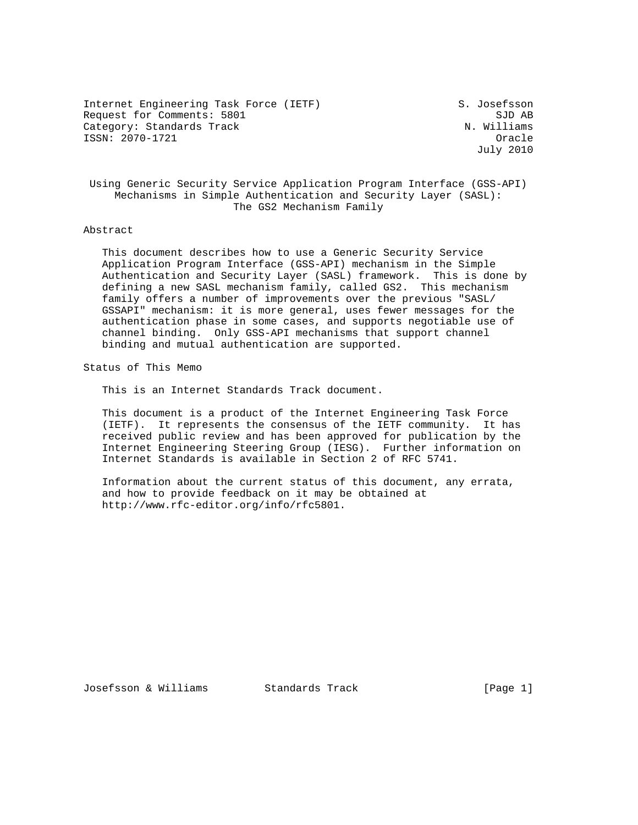Internet Engineering Task Force (IETF) S. Josefsson Request for Comments: 5801 SJD AB SJD AB<br>Category: Standards Track Standards (National Standards Standards Standards Standards Standards Standards Stan Category: Standards Track ISSN: 2070-1721 Oracle

July 2010

 Using Generic Security Service Application Program Interface (GSS-API) Mechanisms in Simple Authentication and Security Layer (SASL): The GS2 Mechanism Family

## Abstract

 This document describes how to use a Generic Security Service Application Program Interface (GSS-API) mechanism in the Simple Authentication and Security Layer (SASL) framework. This is done by defining a new SASL mechanism family, called GS2. This mechanism family offers a number of improvements over the previous "SASL/ GSSAPI" mechanism: it is more general, uses fewer messages for the authentication phase in some cases, and supports negotiable use of channel binding. Only GSS-API mechanisms that support channel binding and mutual authentication are supported.

Status of This Memo

This is an Internet Standards Track document.

 This document is a product of the Internet Engineering Task Force (IETF). It represents the consensus of the IETF community. It has received public review and has been approved for publication by the Internet Engineering Steering Group (IESG). Further information on Internet Standards is available in Section 2 of RFC 5741.

 Information about the current status of this document, any errata, and how to provide feedback on it may be obtained at http://www.rfc-editor.org/info/rfc5801.

Josefsson & Williams Standards Track [Page 1]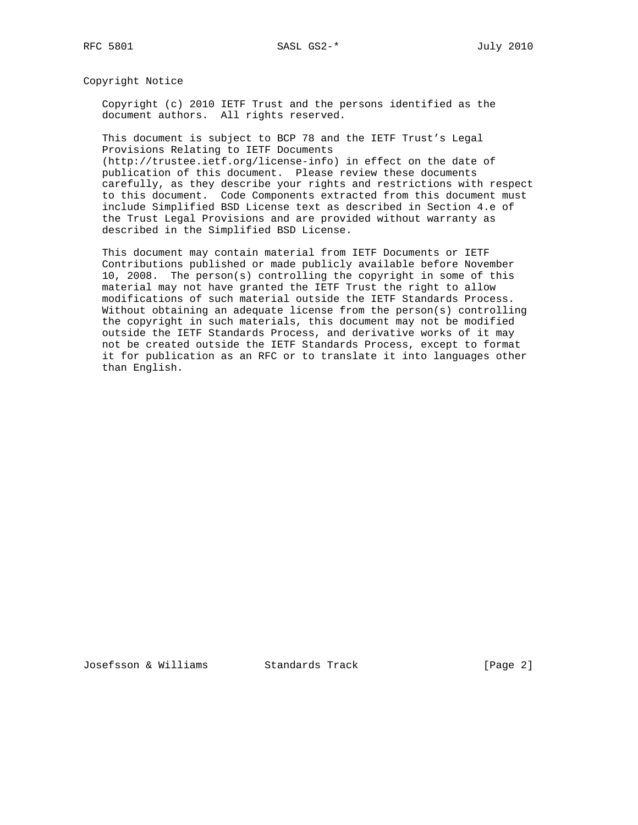Copyright Notice

 Copyright (c) 2010 IETF Trust and the persons identified as the document authors. All rights reserved.

 This document is subject to BCP 78 and the IETF Trust's Legal Provisions Relating to IETF Documents (http://trustee.ietf.org/license-info) in effect on the date of publication of this document. Please review these documents

 carefully, as they describe your rights and restrictions with respect to this document. Code Components extracted from this document must include Simplified BSD License text as described in Section 4.e of the Trust Legal Provisions and are provided without warranty as described in the Simplified BSD License.

 This document may contain material from IETF Documents or IETF Contributions published or made publicly available before November 10, 2008. The person(s) controlling the copyright in some of this material may not have granted the IETF Trust the right to allow modifications of such material outside the IETF Standards Process. Without obtaining an adequate license from the person(s) controlling the copyright in such materials, this document may not be modified outside the IETF Standards Process, and derivative works of it may not be created outside the IETF Standards Process, except to format it for publication as an RFC or to translate it into languages other than English.

Josefsson & Williams Standards Track (Page 2)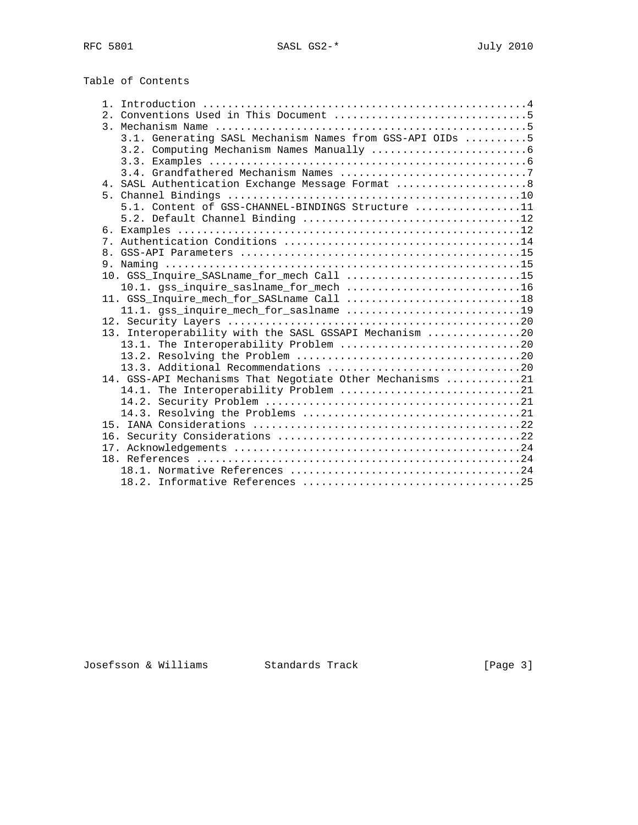| Table of Contents |  |
|-------------------|--|
|                   |  |
|                   |  |
|                   |  |
|                   |  |

|  | 3.1. Generating SASL Mechanism Names from GSS-API OIDs 5  |  |
|--|-----------------------------------------------------------|--|
|  |                                                           |  |
|  |                                                           |  |
|  |                                                           |  |
|  | 4. SASL Authentication Exchange Message Format  8         |  |
|  |                                                           |  |
|  | 5.1. Content of GSS-CHANNEL-BINDINGS Structure 11         |  |
|  |                                                           |  |
|  |                                                           |  |
|  |                                                           |  |
|  |                                                           |  |
|  |                                                           |  |
|  | 10. GSS Inquire SASLname for mech Call 15                 |  |
|  | 10.1. gss_inquire_saslname_for_mech 16                    |  |
|  | 11. GSS_Inquire_mech_for_SASLname Call 18                 |  |
|  |                                                           |  |
|  |                                                           |  |
|  | 13. Interoperability with the SASL GSSAPI Mechanism 20    |  |
|  |                                                           |  |
|  |                                                           |  |
|  |                                                           |  |
|  | 14. GSS-API Mechanisms That Negotiate Other Mechanisms 21 |  |
|  | 14.1. The Interoperability Problem 21                     |  |
|  |                                                           |  |
|  |                                                           |  |
|  |                                                           |  |
|  |                                                           |  |
|  |                                                           |  |
|  |                                                           |  |
|  |                                                           |  |
|  |                                                           |  |

# Josefsson & Williams Standards Track (Page 3)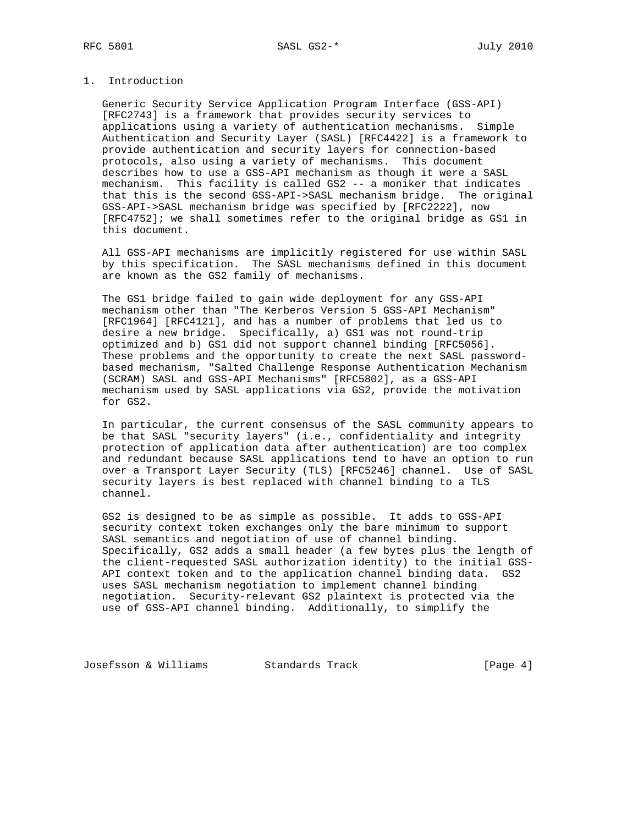# 1. Introduction

 Generic Security Service Application Program Interface (GSS-API) [RFC2743] is a framework that provides security services to applications using a variety of authentication mechanisms. Simple Authentication and Security Layer (SASL) [RFC4422] is a framework to provide authentication and security layers for connection-based protocols, also using a variety of mechanisms. This document describes how to use a GSS-API mechanism as though it were a SASL mechanism. This facility is called GS2 -- a moniker that indicates that this is the second GSS-API->SASL mechanism bridge. The original GSS-API->SASL mechanism bridge was specified by [RFC2222], now [RFC4752]; we shall sometimes refer to the original bridge as GS1 in this document.

 All GSS-API mechanisms are implicitly registered for use within SASL by this specification. The SASL mechanisms defined in this document are known as the GS2 family of mechanisms.

 The GS1 bridge failed to gain wide deployment for any GSS-API mechanism other than "The Kerberos Version 5 GSS-API Mechanism" [RFC1964] [RFC4121], and has a number of problems that led us to desire a new bridge. Specifically, a) GS1 was not round-trip optimized and b) GS1 did not support channel binding [RFC5056]. These problems and the opportunity to create the next SASL password based mechanism, "Salted Challenge Response Authentication Mechanism (SCRAM) SASL and GSS-API Mechanisms" [RFC5802], as a GSS-API mechanism used by SASL applications via GS2, provide the motivation for GS2.

 In particular, the current consensus of the SASL community appears to be that SASL "security layers" (i.e., confidentiality and integrity protection of application data after authentication) are too complex and redundant because SASL applications tend to have an option to run over a Transport Layer Security (TLS) [RFC5246] channel. Use of SASL security layers is best replaced with channel binding to a TLS channel.

 GS2 is designed to be as simple as possible. It adds to GSS-API security context token exchanges only the bare minimum to support SASL semantics and negotiation of use of channel binding. Specifically, GS2 adds a small header (a few bytes plus the length of the client-requested SASL authorization identity) to the initial GSS- API context token and to the application channel binding data. GS2 uses SASL mechanism negotiation to implement channel binding negotiation. Security-relevant GS2 plaintext is protected via the use of GSS-API channel binding. Additionally, to simplify the

Josefsson & Williams Standards Track Track [Page 4]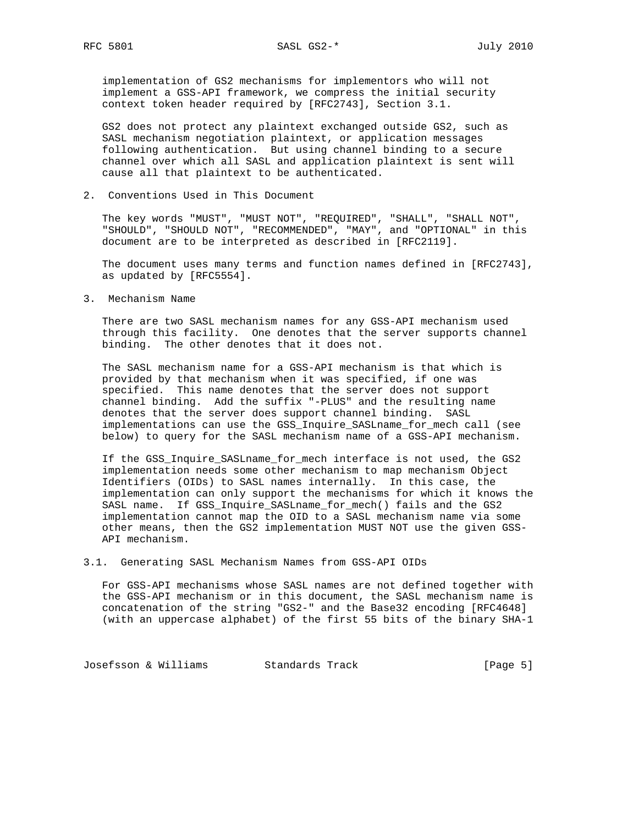implementation of GS2 mechanisms for implementors who will not implement a GSS-API framework, we compress the initial security context token header required by [RFC2743], Section 3.1.

 GS2 does not protect any plaintext exchanged outside GS2, such as SASL mechanism negotiation plaintext, or application messages following authentication. But using channel binding to a secure channel over which all SASL and application plaintext is sent will cause all that plaintext to be authenticated.

2. Conventions Used in This Document

 The key words "MUST", "MUST NOT", "REQUIRED", "SHALL", "SHALL NOT", "SHOULD", "SHOULD NOT", "RECOMMENDED", "MAY", and "OPTIONAL" in this document are to be interpreted as described in [RFC2119].

 The document uses many terms and function names defined in [RFC2743], as updated by [RFC5554].

3. Mechanism Name

 There are two SASL mechanism names for any GSS-API mechanism used through this facility. One denotes that the server supports channel binding. The other denotes that it does not.

 The SASL mechanism name for a GSS-API mechanism is that which is provided by that mechanism when it was specified, if one was specified. This name denotes that the server does not support channel binding. Add the suffix "-PLUS" and the resulting name denotes that the server does support channel binding. SASL implementations can use the GSS\_Inquire\_SASLname\_for\_mech call (see below) to query for the SASL mechanism name of a GSS-API mechanism.

If the GSS Inquire SASLname for mech interface is not used, the GS2 implementation needs some other mechanism to map mechanism Object Identifiers (OIDs) to SASL names internally. In this case, the implementation can only support the mechanisms for which it knows the SASL name. If GSS\_Inquire\_SASLname\_for\_mech() fails and the GS2 implementation cannot map the OID to a SASL mechanism name via some other means, then the GS2 implementation MUST NOT use the given GSS- API mechanism.

3.1. Generating SASL Mechanism Names from GSS-API OIDs

 For GSS-API mechanisms whose SASL names are not defined together with the GSS-API mechanism or in this document, the SASL mechanism name is concatenation of the string "GS2-" and the Base32 encoding [RFC4648] (with an uppercase alphabet) of the first 55 bits of the binary SHA-1

Josefsson & Williams Standards Track (Page 5)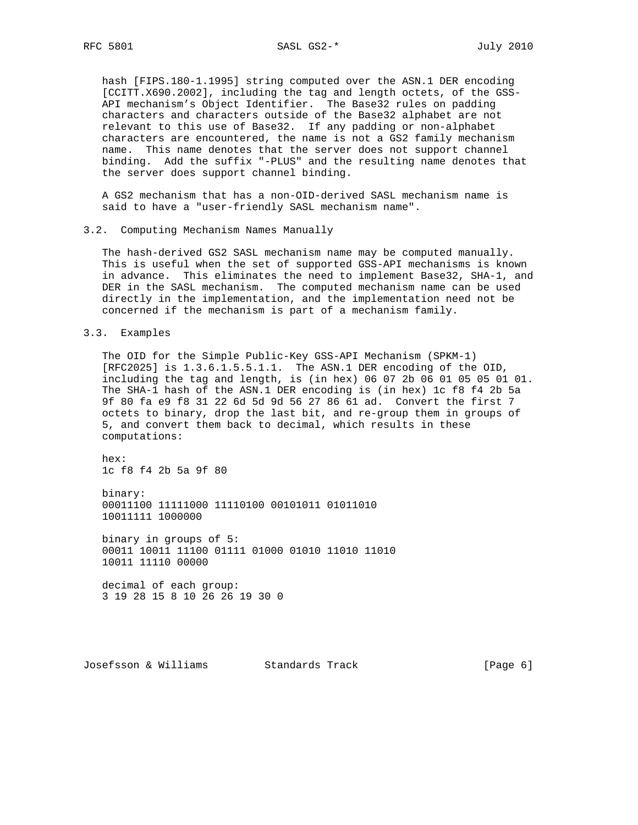hash [FIPS.180-1.1995] string computed over the ASN.1 DER encoding [CCITT.X690.2002], including the tag and length octets, of the GSS- API mechanism's Object Identifier. The Base32 rules on padding characters and characters outside of the Base32 alphabet are not relevant to this use of Base32. If any padding or non-alphabet characters are encountered, the name is not a GS2 family mechanism name. This name denotes that the server does not support channel binding. Add the suffix "-PLUS" and the resulting name denotes that the server does support channel binding.

 A GS2 mechanism that has a non-OID-derived SASL mechanism name is said to have a "user-friendly SASL mechanism name".

3.2. Computing Mechanism Names Manually

 The hash-derived GS2 SASL mechanism name may be computed manually. This is useful when the set of supported GSS-API mechanisms is known in advance. This eliminates the need to implement Base32, SHA-1, and DER in the SASL mechanism. The computed mechanism name can be used directly in the implementation, and the implementation need not be concerned if the mechanism is part of a mechanism family.

3.3. Examples

 The OID for the Simple Public-Key GSS-API Mechanism (SPKM-1) [RFC2025] is 1.3.6.1.5.5.1.1. The ASN.1 DER encoding of the OID, including the tag and length, is (in hex) 06 07 2b 06 01 05 05 01 01. The SHA-1 hash of the ASN.1 DER encoding is (in hex) 1c f8 f4 2b 5a 9f 80 fa e9 f8 31 22 6d 5d 9d 56 27 86 61 ad. Convert the first 7 octets to binary, drop the last bit, and re-group them in groups of 5, and convert them back to decimal, which results in these computations:

 hex: 1c f8 f4 2b 5a 9f 80

 binary: 00011100 11111000 11110100 00101011 01011010 10011111 1000000

 binary in groups of 5: 00011 10011 11100 01111 01000 01010 11010 11010 10011 11110 00000

 decimal of each group: 3 19 28 15 8 10 26 26 19 30 0

Josefsson & Williams Standards Track (Page 6)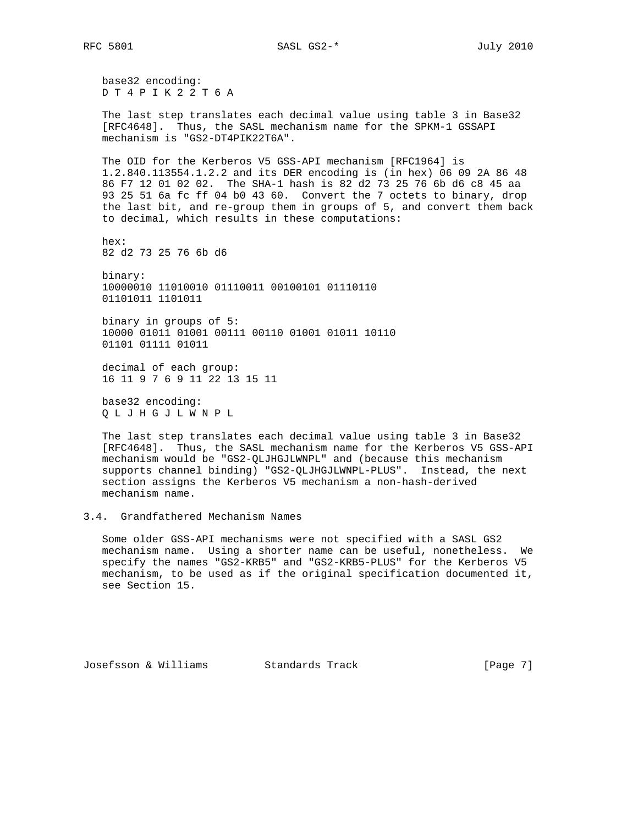base32 encoding: D T 4 P I K 2 2 T 6 A

 The last step translates each decimal value using table 3 in Base32 [RFC4648]. Thus, the SASL mechanism name for the SPKM-1 GSSAPI mechanism is "GS2-DT4PIK22T6A".

 The OID for the Kerberos V5 GSS-API mechanism [RFC1964] is 1.2.840.113554.1.2.2 and its DER encoding is (in hex) 06 09 2A 86 48 86 F7 12 01 02 02. The SHA-1 hash is 82 d2 73 25 76 6b d6 c8 45 aa 93 25 51 6a fc ff 04 b0 43 60. Convert the 7 octets to binary, drop the last bit, and re-group them in groups of 5, and convert them back to decimal, which results in these computations:

 hex: 82 d2 73 25 76 6b d6

 binary: 10000010 11010010 01110011 00100101 01110110 01101011 1101011

 binary in groups of 5: 10000 01011 01001 00111 00110 01001 01011 10110 01101 01111 01011

 decimal of each group: 16 11 9 7 6 9 11 22 13 15 11

 base32 encoding: Q L J H G J L W N P L

 The last step translates each decimal value using table 3 in Base32 [RFC4648]. Thus, the SASL mechanism name for the Kerberos V5 GSS-API mechanism would be "GS2-QLJHGJLWNPL" and (because this mechanism supports channel binding) "GS2-QLJHGJLWNPL-PLUS". Instead, the next section assigns the Kerberos V5 mechanism a non-hash-derived mechanism name.

# 3.4. Grandfathered Mechanism Names

 Some older GSS-API mechanisms were not specified with a SASL GS2 mechanism name. Using a shorter name can be useful, nonetheless. We specify the names "GS2-KRB5" and "GS2-KRB5-PLUS" for the Kerberos V5 mechanism, to be used as if the original specification documented it, see Section 15.

Josefsson & Williams Standards Track [Page 7]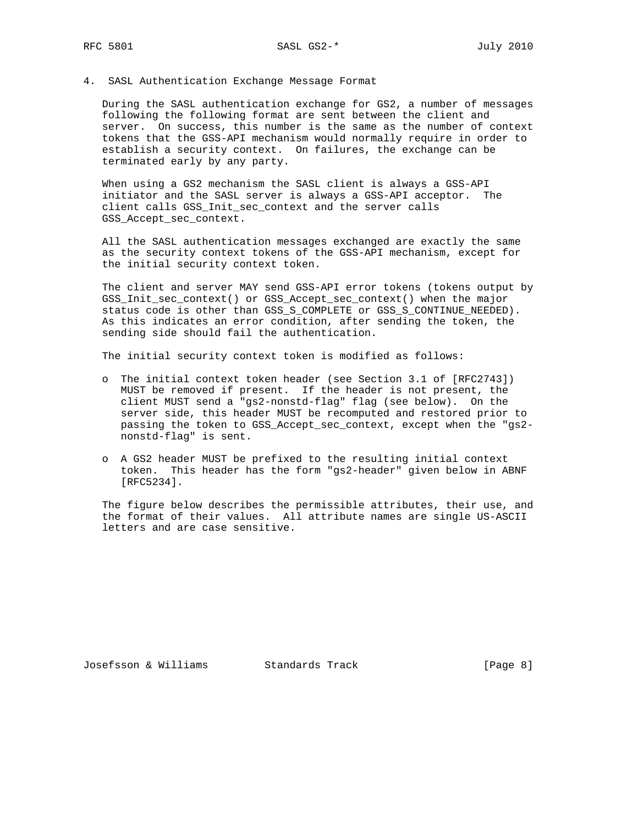4. SASL Authentication Exchange Message Format

 During the SASL authentication exchange for GS2, a number of messages following the following format are sent between the client and server. On success, this number is the same as the number of context tokens that the GSS-API mechanism would normally require in order to establish a security context. On failures, the exchange can be terminated early by any party.

 When using a GS2 mechanism the SASL client is always a GSS-API initiator and the SASL server is always a GSS-API acceptor. The client calls GSS\_Init\_sec\_context and the server calls GSS\_Accept\_sec\_context.

 All the SASL authentication messages exchanged are exactly the same as the security context tokens of the GSS-API mechanism, except for the initial security context token.

 The client and server MAY send GSS-API error tokens (tokens output by GSS\_Init\_sec\_context() or GSS\_Accept\_sec\_context() when the major status code is other than GSS\_S\_COMPLETE or GSS\_S\_CONTINUE\_NEEDED). As this indicates an error condition, after sending the token, the sending side should fail the authentication.

The initial security context token is modified as follows:

- o The initial context token header (see Section 3.1 of [RFC2743]) MUST be removed if present. If the header is not present, the client MUST send a "gs2-nonstd-flag" flag (see below). On the server side, this header MUST be recomputed and restored prior to passing the token to GSS\_Accept\_sec\_context, except when the "gs2 nonstd-flag" is sent.
- o A GS2 header MUST be prefixed to the resulting initial context token. This header has the form "gs2-header" given below in ABNF [RFC5234].

 The figure below describes the permissible attributes, their use, and the format of their values. All attribute names are single US-ASCII letters and are case sensitive.

Josefsson & Williams Standards Track [Page 8]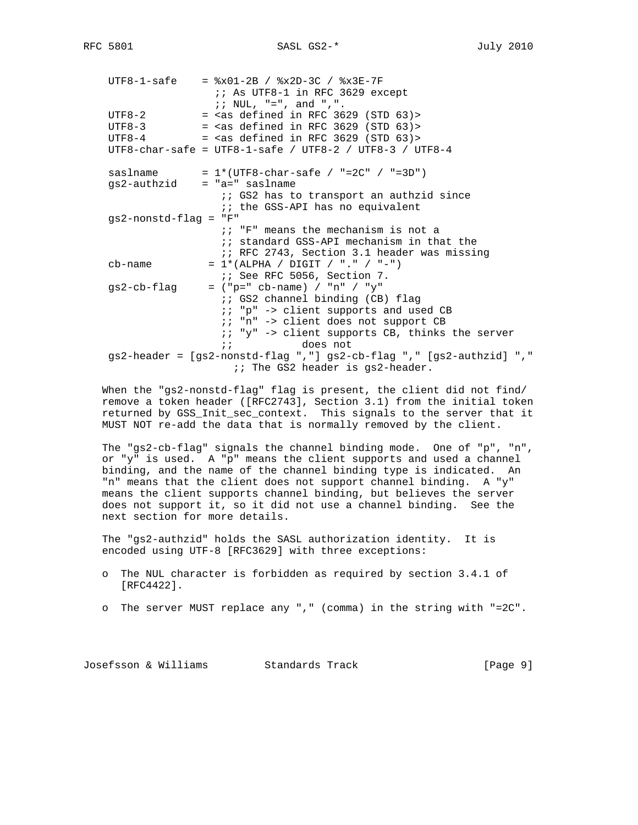UTF8-1-safe = %x01-2B / %x2D-3C / %x3E-7F ;; As UTF8-1 in RFC 3629 except ;;  $NUL$ , "=", and ",".  $UTF8-2$  = <as defined in RFC 3629 (STD 63)> UTF8-3  $=$  <as defined in RFC 3629 (STD 63)> UTF8-4  $=$  <as defined in RFC 3629 (STD 63)> UTF8-char-safe = UTF8-1-safe / UTF8-2 / UTF8-3 / UTF8-4 saslname =  $1*(UTF8-char-safe / "=2C" / "=3D")$  $qs2$ -authzid = "a=" saslname ;; GS2 has to transport an authzid since ;; the GSS-API has no equivalent gs2-nonstd-flag = "F" ;; "F" means the mechanism is not a  $i$  standard GSS-API mechanism in that the ;; RFC 2743, Section 3.1 header was missing cb-name =  $1*(ALPHA / DIGIT / "." / " -")$  ;; See RFC 5056, Section 7.  $gs2-cb-flag = ("p=" cb-name) / "n" / "y"$  $i$ ; GS2 channel binding (CB) flag ;; "p" -> client supports and used CB ;; "n" -> client does not support CB ;; "y" -> client supports CB, thinks the server ;; does not gs2-header = [gs2-nonstd-flag ","] gs2-cb-flag "," [gs2-authzid] "," ;; The GS2 header is gs2-header.

 When the "gs2-nonstd-flag" flag is present, the client did not find/ remove a token header ([RFC2743], Section 3.1) from the initial token returned by GSS\_Init\_sec\_context. This signals to the server that it MUST NOT re-add the data that is normally removed by the client.

 The "gs2-cb-flag" signals the channel binding mode. One of "p", "n", or "y" is used. A "p" means the client supports and used a channel binding, and the name of the channel binding type is indicated. An "n" means that the client does not support channel binding. A "y" means the client supports channel binding, but believes the server does not support it, so it did not use a channel binding. See the next section for more details.

 The "gs2-authzid" holds the SASL authorization identity. It is encoded using UTF-8 [RFC3629] with three exceptions:

- o The NUL character is forbidden as required by section 3.4.1 of [RFC4422].
- o The server MUST replace any "," (comma) in the string with "=2C".

Josefsson & Williams Standards Track [Page 9]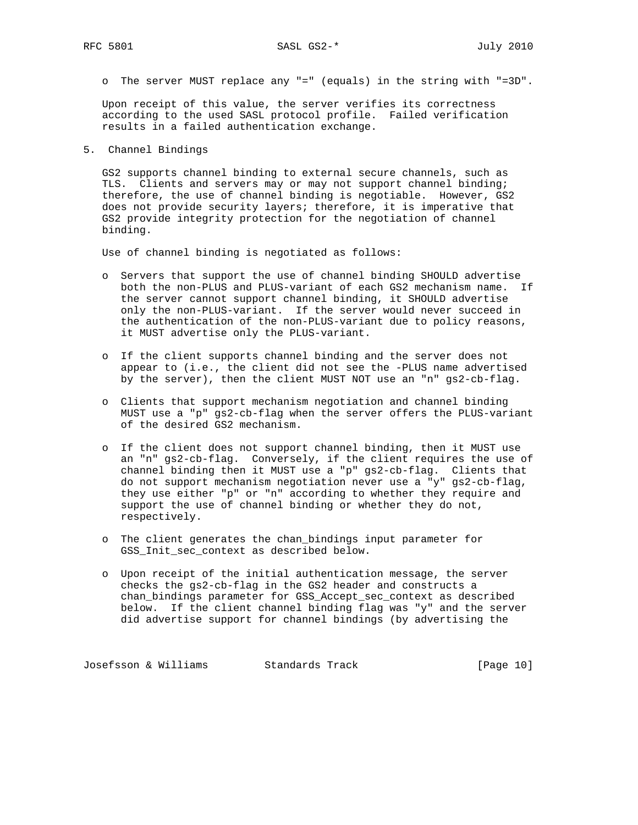o The server MUST replace any "=" (equals) in the string with "=3D".

 Upon receipt of this value, the server verifies its correctness according to the used SASL protocol profile. Failed verification results in a failed authentication exchange.

5. Channel Bindings

 GS2 supports channel binding to external secure channels, such as TLS. Clients and servers may or may not support channel binding; therefore, the use of channel binding is negotiable. However, GS2 does not provide security layers; therefore, it is imperative that GS2 provide integrity protection for the negotiation of channel binding.

Use of channel binding is negotiated as follows:

- o Servers that support the use of channel binding SHOULD advertise both the non-PLUS and PLUS-variant of each GS2 mechanism name. If the server cannot support channel binding, it SHOULD advertise only the non-PLUS-variant. If the server would never succeed in the authentication of the non-PLUS-variant due to policy reasons, it MUST advertise only the PLUS-variant.
- o If the client supports channel binding and the server does not appear to (i.e., the client did not see the -PLUS name advertised by the server), then the client MUST NOT use an "n" gs2-cb-flag.
- o Clients that support mechanism negotiation and channel binding MUST use a "p" gs2-cb-flag when the server offers the PLUS-variant of the desired GS2 mechanism.
- o If the client does not support channel binding, then it MUST use an "n" gs2-cb-flag. Conversely, if the client requires the use of channel binding then it MUST use a "p" gs2-cb-flag. Clients that do not support mechanism negotiation never use a "y" gs2-cb-flag, they use either "p" or "n" according to whether they require and support the use of channel binding or whether they do not, respectively.
- o The client generates the chan\_bindings input parameter for GSS\_Init\_sec\_context as described below.
- o Upon receipt of the initial authentication message, the server checks the gs2-cb-flag in the GS2 header and constructs a chan\_bindings parameter for GSS\_Accept\_sec\_context as described below. If the client channel binding flag was "y" and the server did advertise support for channel bindings (by advertising the

Josefsson & Williams Standards Track [Page 10]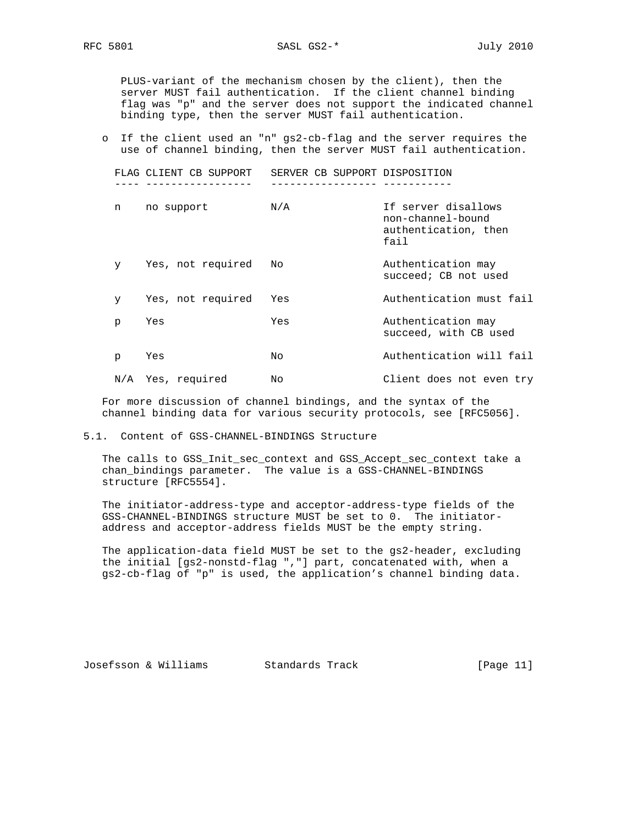PLUS-variant of the mechanism chosen by the client), then the server MUST fail authentication. If the client channel binding flag was "p" and the server does not support the indicated channel binding type, then the server MUST fail authentication.

 o If the client used an "n" gs2-cb-flag and the server requires the use of channel binding, then the server MUST fail authentication.

|              | FLAG CLIENT CB SUPPORT | SERVER CB SUPPORT DISPOSITION |                                                                          |
|--------------|------------------------|-------------------------------|--------------------------------------------------------------------------|
|              |                        |                               |                                                                          |
| n            | no support             | N/A                           | If server disallows<br>non-channel-bound<br>authentication, then<br>fail |
| $\mathbf{y}$ | Yes, not required      | No                            | Authentication may<br>succeed; CB not used                               |
| y.           | Yes, not required      | Yes                           | Authentication must fail                                                 |
| p            | Yes                    | Yes                           | Authentication may<br>succeed, with CB used                              |
| p            | Yes                    | Nο                            | Authentication will fail                                                 |
|              | N/A Yes, required      | No                            | Client does not even try                                                 |

 For more discussion of channel bindings, and the syntax of the channel binding data for various security protocols, see [RFC5056].

#### 5.1. Content of GSS-CHANNEL-BINDINGS Structure

 The calls to GSS\_Init\_sec\_context and GSS\_Accept\_sec\_context take a chan\_bindings parameter. The value is a GSS-CHANNEL-BINDINGS structure [RFC5554].

 The initiator-address-type and acceptor-address-type fields of the GSS-CHANNEL-BINDINGS structure MUST be set to 0. The initiator address and acceptor-address fields MUST be the empty string.

 The application-data field MUST be set to the gs2-header, excluding the initial [gs2-nonstd-flag ","] part, concatenated with, when a gs2-cb-flag of "p" is used, the application's channel binding data.

Josefsson & Williams Standards Track [Page 11]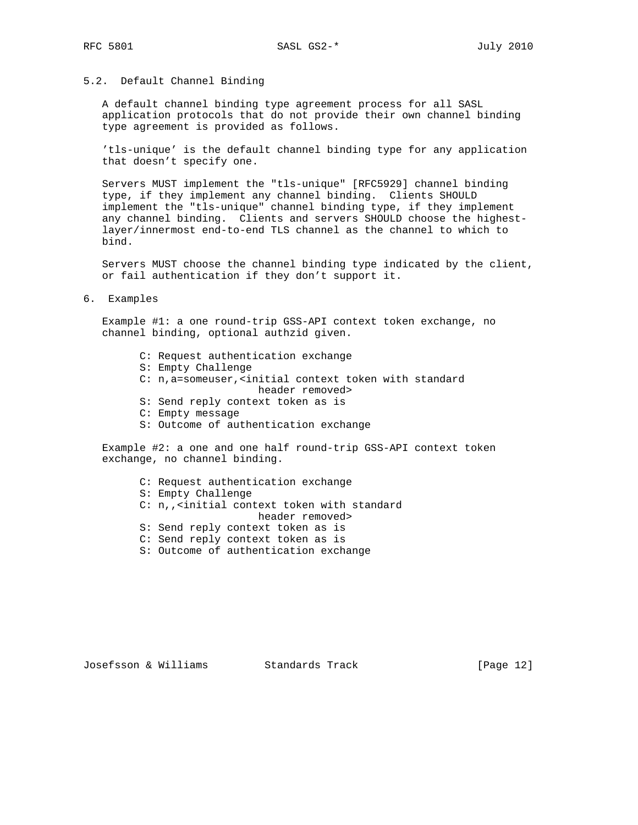# 5.2. Default Channel Binding

 A default channel binding type agreement process for all SASL application protocols that do not provide their own channel binding type agreement is provided as follows.

 'tls-unique' is the default channel binding type for any application that doesn't specify one.

 Servers MUST implement the "tls-unique" [RFC5929] channel binding type, if they implement any channel binding. Clients SHOULD implement the "tls-unique" channel binding type, if they implement any channel binding. Clients and servers SHOULD choose the highest layer/innermost end-to-end TLS channel as the channel to which to bind.

 Servers MUST choose the channel binding type indicated by the client, or fail authentication if they don't support it.

6. Examples

 Example #1: a one round-trip GSS-API context token exchange, no channel binding, optional authzid given.

- C: Request authentication exchange
- S: Empty Challenge
- C: n,a=someuser,<initial context token with standard header removed>
- S: Send reply context token as is
- C: Empty message
- S: Outcome of authentication exchange

 Example #2: a one and one half round-trip GSS-API context token exchange, no channel binding.

- C: Request authentication exchange
- S: Empty Challenge
- C: n,,<initial context token with standard header removed>
- S: Send reply context token as is
- C: Send reply context token as is
- S: Outcome of authentication exchange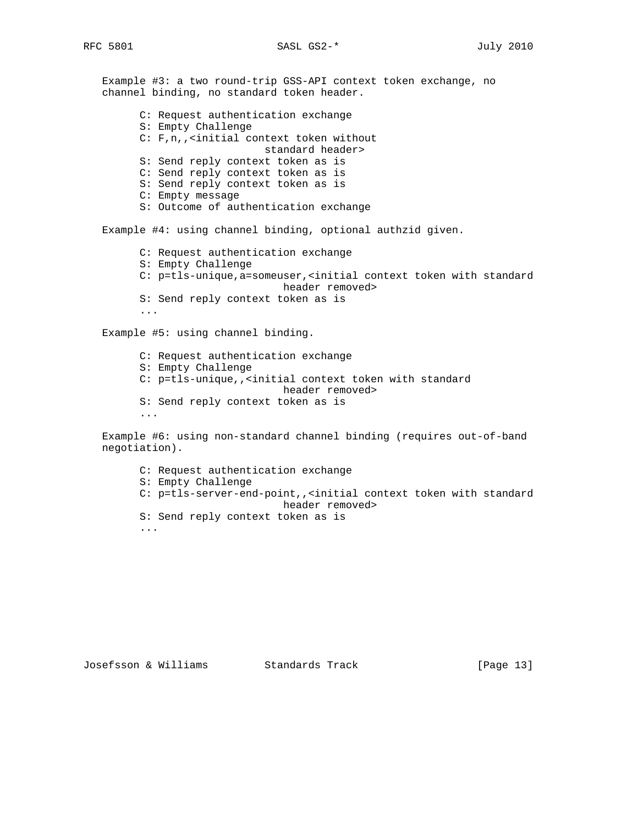Example #3: a two round-trip GSS-API context token exchange, no channel binding, no standard token header. C: Request authentication exchange S: Empty Challenge C: F,n,,<initial context token without standard header> S: Send reply context token as is C: Send reply context token as is S: Send reply context token as is C: Empty message S: Outcome of authentication exchange Example #4: using channel binding, optional authzid given. C: Request authentication exchange S: Empty Challenge C: p=tls-unique,a=someuser,<initial context token with standard header removed> S: Send reply context token as is ... Example #5: using channel binding. C: Request authentication exchange S: Empty Challenge C: p=tls-unique,,<initial context token with standard header removed> S: Send reply context token as is ...

 Example #6: using non-standard channel binding (requires out-of-band negotiation).

 C: Request authentication exchange S: Empty Challenge C: p=tls-server-end-point,,<initial context token with standard header removed> S: Send reply context token as is ...

## Josefsson & Williams Standards Track [Page 13]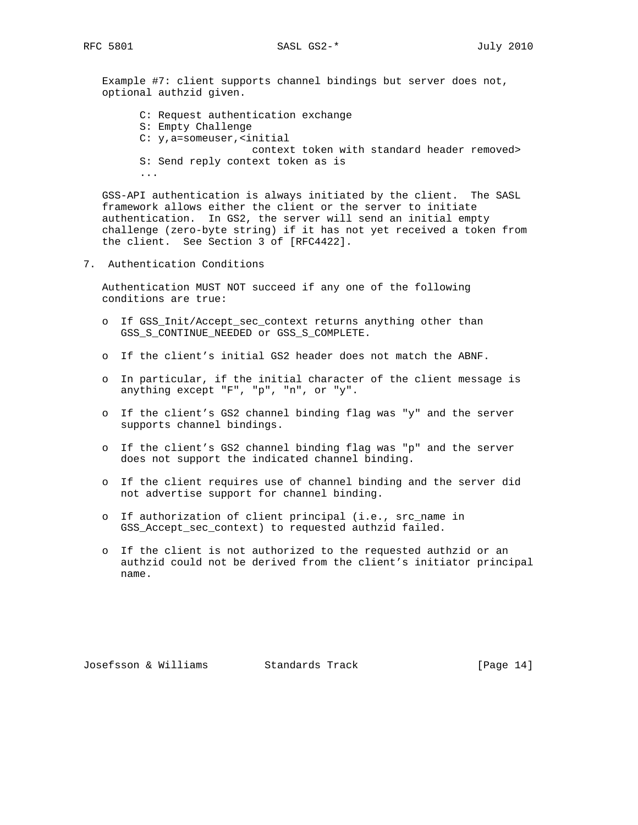RFC 5801 SASL GS2-\* July 2010

 Example #7: client supports channel bindings but server does not, optional authzid given.

 C: Request authentication exchange S: Empty Challenge C: y,a=someuser,<initial context token with standard header removed> S: Send reply context token as is ...

 GSS-API authentication is always initiated by the client. The SASL framework allows either the client or the server to initiate authentication. In GS2, the server will send an initial empty challenge (zero-byte string) if it has not yet received a token from the client. See Section 3 of [RFC4422].

7. Authentication Conditions

 Authentication MUST NOT succeed if any one of the following conditions are true:

- o If GSS\_Init/Accept\_sec\_context returns anything other than GSS\_S\_CONTINUE\_NEEDED or GSS\_S\_COMPLETE.
- o If the client's initial GS2 header does not match the ABNF.
- o In particular, if the initial character of the client message is anything except "F", "p", "n", or "y".
- o If the client's GS2 channel binding flag was "y" and the server supports channel bindings.
- o If the client's GS2 channel binding flag was "p" and the server does not support the indicated channel binding.
- o If the client requires use of channel binding and the server did not advertise support for channel binding.
- o If authorization of client principal (i.e., src\_name in GSS Accept sec context) to requested authzid failed.
- o If the client is not authorized to the requested authzid or an authzid could not be derived from the client's initiator principal name.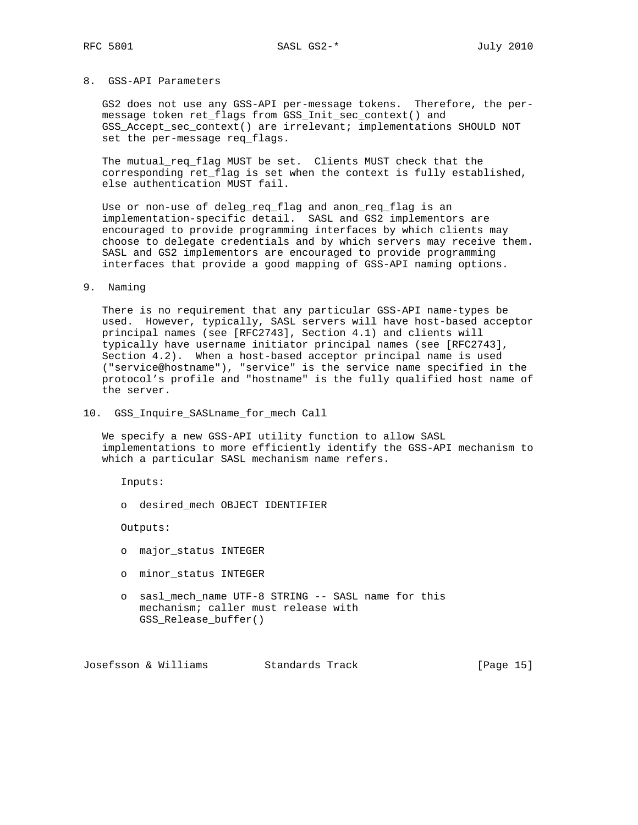# 8. GSS-API Parameters

 GS2 does not use any GSS-API per-message tokens. Therefore, the per message token ret\_flags from GSS\_Init\_sec\_context() and GSS\_Accept\_sec\_context() are irrelevant; implementations SHOULD NOT set the per-message req\_flags.

 The mutual\_req\_flag MUST be set. Clients MUST check that the corresponding ret\_flag is set when the context is fully established, else authentication MUST fail.

 Use or non-use of deleg\_req\_flag and anon\_req\_flag is an implementation-specific detail. SASL and GS2 implementors are encouraged to provide programming interfaces by which clients may choose to delegate credentials and by which servers may receive them. SASL and GS2 implementors are encouraged to provide programming interfaces that provide a good mapping of GSS-API naming options.

#### 9. Naming

 There is no requirement that any particular GSS-API name-types be used. However, typically, SASL servers will have host-based acceptor principal names (see [RFC2743], Section 4.1) and clients will typically have username initiator principal names (see [RFC2743], Section 4.2). When a host-based acceptor principal name is used ("service@hostname"), "service" is the service name specified in the protocol's profile and "hostname" is the fully qualified host name of the server.

10. GSS\_Inquire\_SASLname\_for\_mech Call

 We specify a new GSS-API utility function to allow SASL implementations to more efficiently identify the GSS-API mechanism to which a particular SASL mechanism name refers.

Inputs:

o desired\_mech OBJECT IDENTIFIER

Outputs:

- o major\_status INTEGER
- o minor\_status INTEGER
- o sasl\_mech\_name UTF-8 STRING -- SASL name for this mechanism; caller must release with GSS\_Release\_buffer()

Josefsson & Williams Standards Track [Page 15]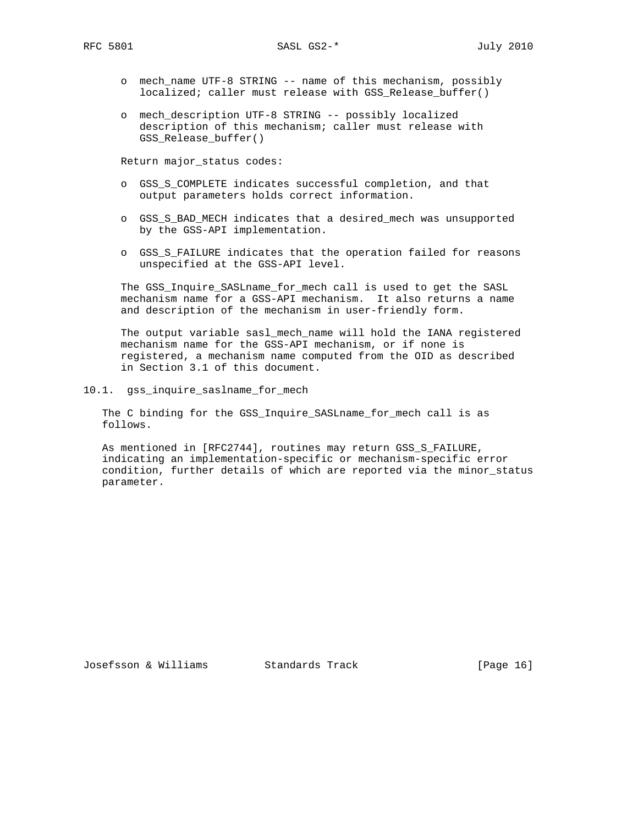- o mech\_name UTF-8 STRING -- name of this mechanism, possibly localized; caller must release with GSS\_Release\_buffer()
- o mech\_description UTF-8 STRING -- possibly localized description of this mechanism; caller must release with GSS\_Release\_buffer()

Return major\_status codes:

- o GSS\_S\_COMPLETE indicates successful completion, and that output parameters holds correct information.
- o GSS\_S\_BAD\_MECH indicates that a desired\_mech was unsupported by the GSS-API implementation.
- o GSS\_S\_FAILURE indicates that the operation failed for reasons unspecified at the GSS-API level.

 The GSS\_Inquire\_SASLname\_for\_mech call is used to get the SASL mechanism name for a GSS-API mechanism. It also returns a name and description of the mechanism in user-friendly form.

 The output variable sasl\_mech\_name will hold the IANA registered mechanism name for the GSS-API mechanism, or if none is registered, a mechanism name computed from the OID as described in Section 3.1 of this document.

10.1. gss\_inquire\_saslname\_for\_mech

 The C binding for the GSS\_Inquire\_SASLname\_for\_mech call is as follows.

 As mentioned in [RFC2744], routines may return GSS\_S\_FAILURE, indicating an implementation-specific or mechanism-specific error condition, further details of which are reported via the minor\_status parameter.

Josefsson & Williams Standards Track [Page 16]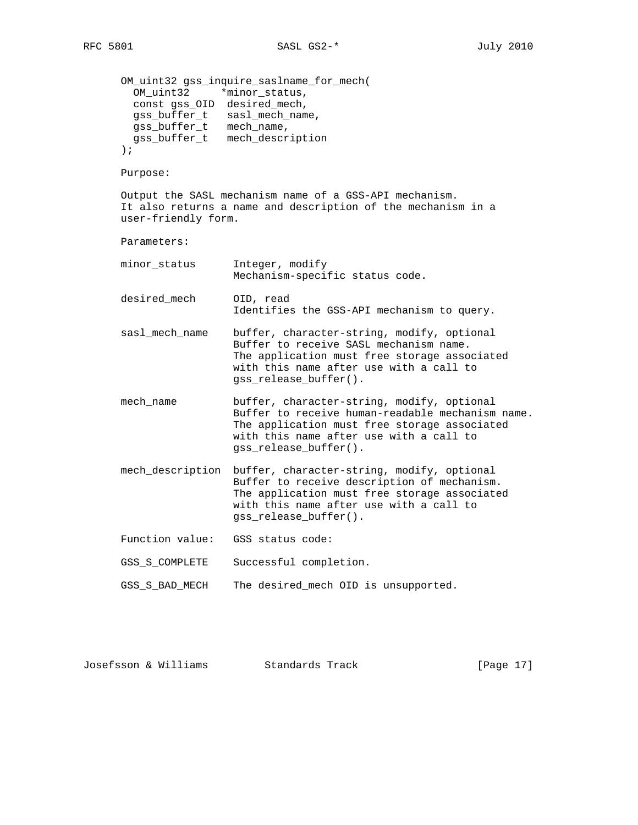```
 OM_uint32 gss_inquire_saslname_for_mech(
   OM_uint32 *minor_status,
   const gss_OID desired_mech,
   gss_buffer_t sasl_mech_name,
   gss_buffer_t mech_name,
   gss_buffer_t mech_description
 );
 Purpose:
 Output the SASL mechanism name of a GSS-API mechanism.
 It also returns a name and description of the mechanism in a
 user-friendly form.
 Parameters:
 minor_status Integer, modify
                   Mechanism-specific status code.
 desired_mech OID, read
                   Identifies the GSS-API mechanism to query.
 sasl_mech_name buffer, character-string, modify, optional
                   Buffer to receive SASL mechanism name.
                   The application must free storage associated
                   with this name after use with a call to
                   gss_release_buffer().
 mech_name buffer, character-string, modify, optional
                   Buffer to receive human-readable mechanism name.
                   The application must free storage associated
                   with this name after use with a call to
                   gss_release_buffer().
 mech_description buffer, character-string, modify, optional
                   Buffer to receive description of mechanism.
                   The application must free storage associated
                   with this name after use with a call to
                   gss_release_buffer().
 Function value: GSS status code:
 GSS_S_COMPLETE Successful completion.
 GSS_S_BAD_MECH The desired_mech OID is unsupported.
```

| Josefsson & Williams |  |  | Standards Track |  | [Page 17] |  |  |
|----------------------|--|--|-----------------|--|-----------|--|--|
|----------------------|--|--|-----------------|--|-----------|--|--|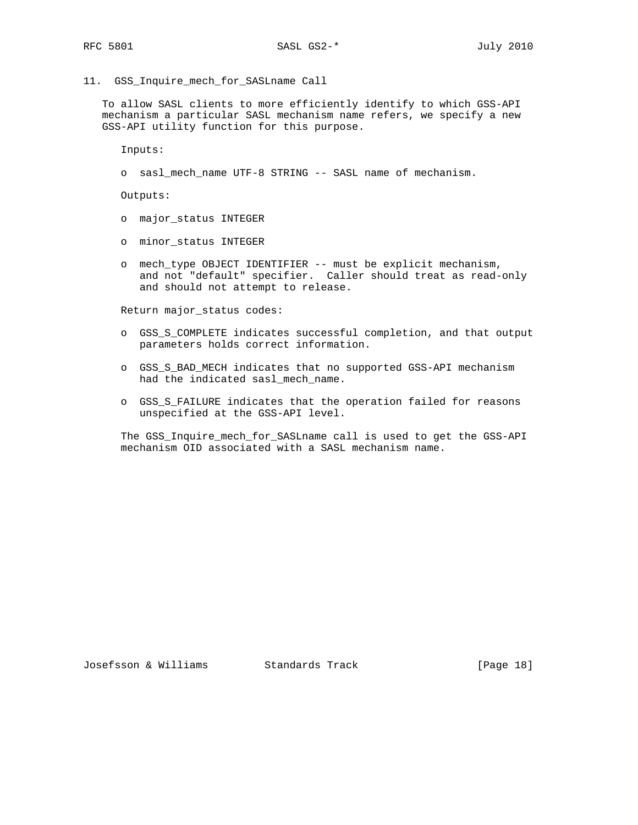11. GSS\_Inquire\_mech\_for\_SASLname Call

 To allow SASL clients to more efficiently identify to which GSS-API mechanism a particular SASL mechanism name refers, we specify a new GSS-API utility function for this purpose.

Inputs:

o sasl\_mech\_name UTF-8 STRING -- SASL name of mechanism.

Outputs:

- o major\_status INTEGER
- o minor\_status INTEGER
- o mech\_type OBJECT IDENTIFIER -- must be explicit mechanism, and not "default" specifier. Caller should treat as read-only and should not attempt to release.

Return major\_status codes:

- o GSS\_S\_COMPLETE indicates successful completion, and that output parameters holds correct information.
- o GSS\_S\_BAD\_MECH indicates that no supported GSS-API mechanism had the indicated sasl\_mech\_name.
- o GSS\_S\_FAILURE indicates that the operation failed for reasons unspecified at the GSS-API level.

 The GSS\_Inquire\_mech\_for\_SASLname call is used to get the GSS-API mechanism OID associated with a SASL mechanism name.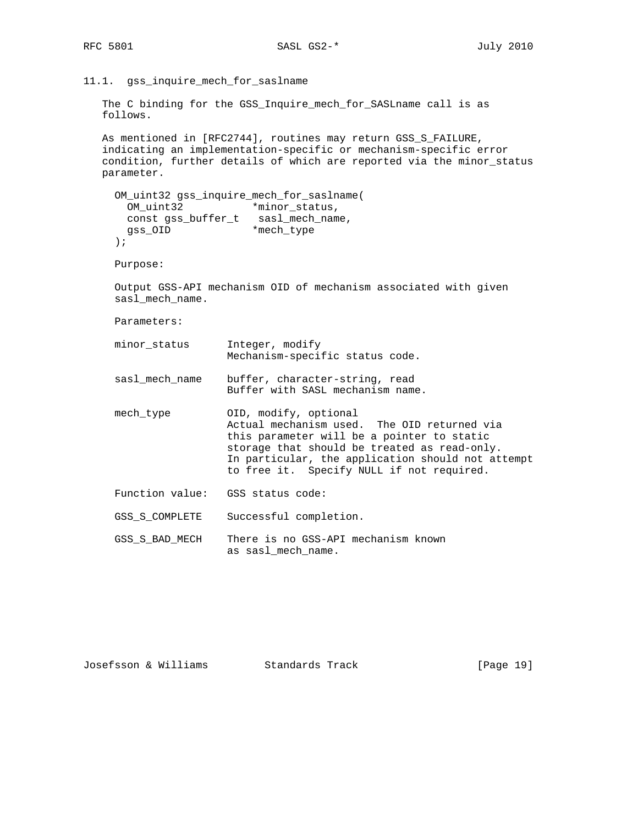11.1. gss\_inquire\_mech\_for\_saslname

```
 The C binding for the GSS_Inquire_mech_for_SASLname call is as
 follows.
```
As mentioned in [RFC2744], routines may return GSS\_S\_FAILURE, indicating an implementation-specific or mechanism-specific error condition, further details of which are reported via the minor\_status parameter.

```
 OM_uint32 gss_inquire_mech_for_saslname(
      OM_uint32 *minor_status,
 const gss_buffer_t sasl_mech_name,
gss_OID *mech_type
    );
```
Purpose:

 Output GSS-API mechanism OID of mechanism associated with given sasl\_mech\_name.

Parameters:

- minor\_status Integer, modify Mechanism-specific status code.
- sasl\_mech\_name buffer, character-string, read Buffer with SASL mechanism name.
- mech\_type 0ID, modify, optional Actual mechanism used. The OID returned via this parameter will be a pointer to static storage that should be treated as read-only. In particular, the application should not attempt to free it. Specify NULL if not required.
- Function value: GSS status code:
- GSS\_S\_COMPLETE Successful completion.
- GSS\_S\_BAD\_MECH There is no GSS-API mechanism known as sasl\_mech\_name.

| Josefsson & Williams | Standards Track | [Page 19] |
|----------------------|-----------------|-----------|
|----------------------|-----------------|-----------|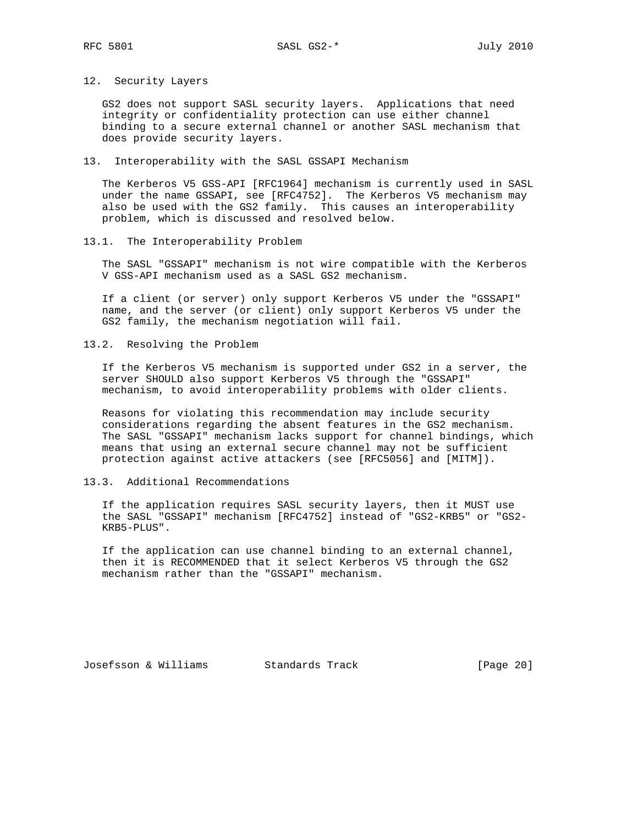### 12. Security Layers

 GS2 does not support SASL security layers. Applications that need integrity or confidentiality protection can use either channel binding to a secure external channel or another SASL mechanism that does provide security layers.

#### 13. Interoperability with the SASL GSSAPI Mechanism

 The Kerberos V5 GSS-API [RFC1964] mechanism is currently used in SASL under the name GSSAPI, see [RFC4752]. The Kerberos V5 mechanism may also be used with the GS2 family. This causes an interoperability problem, which is discussed and resolved below.

13.1. The Interoperability Problem

 The SASL "GSSAPI" mechanism is not wire compatible with the Kerberos V GSS-API mechanism used as a SASL GS2 mechanism.

 If a client (or server) only support Kerberos V5 under the "GSSAPI" name, and the server (or client) only support Kerberos V5 under the GS2 family, the mechanism negotiation will fail.

13.2. Resolving the Problem

 If the Kerberos V5 mechanism is supported under GS2 in a server, the server SHOULD also support Kerberos V5 through the "GSSAPI" mechanism, to avoid interoperability problems with older clients.

 Reasons for violating this recommendation may include security considerations regarding the absent features in the GS2 mechanism. The SASL "GSSAPI" mechanism lacks support for channel bindings, which means that using an external secure channel may not be sufficient protection against active attackers (see [RFC5056] and [MITM]).

13.3. Additional Recommendations

 If the application requires SASL security layers, then it MUST use the SASL "GSSAPI" mechanism [RFC4752] instead of "GS2-KRB5" or "GS2- KRB5-PLUS".

 If the application can use channel binding to an external channel, then it is RECOMMENDED that it select Kerberos V5 through the GS2 mechanism rather than the "GSSAPI" mechanism.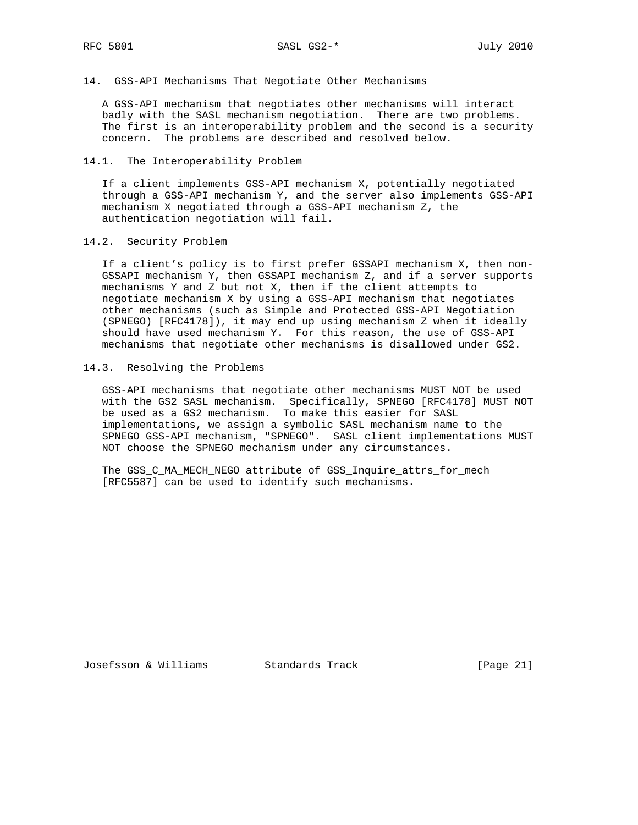14. GSS-API Mechanisms That Negotiate Other Mechanisms

 A GSS-API mechanism that negotiates other mechanisms will interact badly with the SASL mechanism negotiation. There are two problems. The first is an interoperability problem and the second is a security concern. The problems are described and resolved below.

14.1. The Interoperability Problem

 If a client implements GSS-API mechanism X, potentially negotiated through a GSS-API mechanism Y, and the server also implements GSS-API mechanism X negotiated through a GSS-API mechanism Z, the authentication negotiation will fail.

14.2. Security Problem

 If a client's policy is to first prefer GSSAPI mechanism X, then non- GSSAPI mechanism Y, then GSSAPI mechanism Z, and if a server supports mechanisms Y and Z but not X, then if the client attempts to negotiate mechanism X by using a GSS-API mechanism that negotiates other mechanisms (such as Simple and Protected GSS-API Negotiation (SPNEGO) [RFC4178]), it may end up using mechanism Z when it ideally should have used mechanism Y. For this reason, the use of GSS-API mechanisms that negotiate other mechanisms is disallowed under GS2.

14.3. Resolving the Problems

 GSS-API mechanisms that negotiate other mechanisms MUST NOT be used with the GS2 SASL mechanism. Specifically, SPNEGO [RFC4178] MUST NOT be used as a GS2 mechanism. To make this easier for SASL implementations, we assign a symbolic SASL mechanism name to the SPNEGO GSS-API mechanism, "SPNEGO". SASL client implementations MUST NOT choose the SPNEGO mechanism under any circumstances.

 The GSS\_C\_MA\_MECH\_NEGO attribute of GSS\_Inquire\_attrs\_for\_mech [RFC5587] can be used to identify such mechanisms.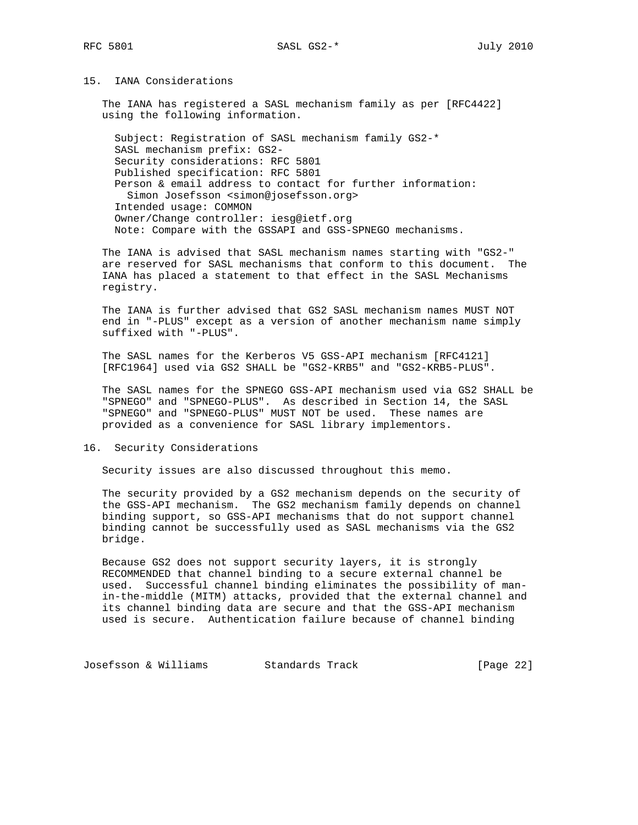# 15. IANA Considerations

 The IANA has registered a SASL mechanism family as per [RFC4422] using the following information.

 Subject: Registration of SASL mechanism family GS2-\* SASL mechanism prefix: GS2- Security considerations: RFC 5801 Published specification: RFC 5801 Person & email address to contact for further information: Simon Josefsson <simon@josefsson.org> Intended usage: COMMON Owner/Change controller: iesg@ietf.org Note: Compare with the GSSAPI and GSS-SPNEGO mechanisms.

 The IANA is advised that SASL mechanism names starting with "GS2-" are reserved for SASL mechanisms that conform to this document. The IANA has placed a statement to that effect in the SASL Mechanisms registry.

 The IANA is further advised that GS2 SASL mechanism names MUST NOT end in "-PLUS" except as a version of another mechanism name simply suffixed with "-PLUS".

 The SASL names for the Kerberos V5 GSS-API mechanism [RFC4121] [RFC1964] used via GS2 SHALL be "GS2-KRB5" and "GS2-KRB5-PLUS".

 The SASL names for the SPNEGO GSS-API mechanism used via GS2 SHALL be "SPNEGO" and "SPNEGO-PLUS". As described in Section 14, the SASL "SPNEGO" and "SPNEGO-PLUS" MUST NOT be used. These names are provided as a convenience for SASL library implementors.

16. Security Considerations

Security issues are also discussed throughout this memo.

 The security provided by a GS2 mechanism depends on the security of the GSS-API mechanism. The GS2 mechanism family depends on channel binding support, so GSS-API mechanisms that do not support channel binding cannot be successfully used as SASL mechanisms via the GS2 bridge.

 Because GS2 does not support security layers, it is strongly RECOMMENDED that channel binding to a secure external channel be used. Successful channel binding eliminates the possibility of man in-the-middle (MITM) attacks, provided that the external channel and its channel binding data are secure and that the GSS-API mechanism used is secure. Authentication failure because of channel binding

Josefsson & Williams Standards Track [Page 22]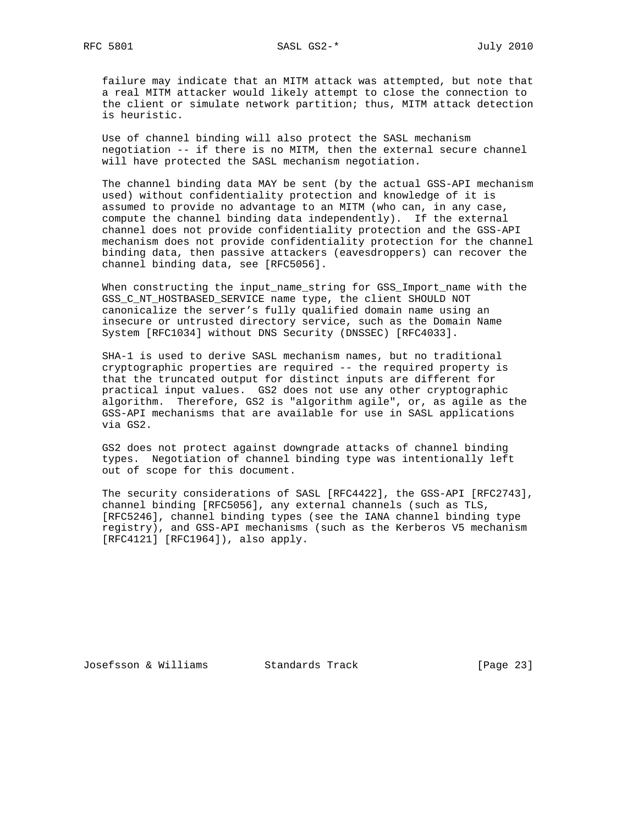failure may indicate that an MITM attack was attempted, but note that a real MITM attacker would likely attempt to close the connection to the client or simulate network partition; thus, MITM attack detection is heuristic.

 Use of channel binding will also protect the SASL mechanism negotiation -- if there is no MITM, then the external secure channel will have protected the SASL mechanism negotiation.

 The channel binding data MAY be sent (by the actual GSS-API mechanism used) without confidentiality protection and knowledge of it is assumed to provide no advantage to an MITM (who can, in any case, compute the channel binding data independently). If the external channel does not provide confidentiality protection and the GSS-API mechanism does not provide confidentiality protection for the channel binding data, then passive attackers (eavesdroppers) can recover the channel binding data, see [RFC5056].

 When constructing the input\_name\_string for GSS\_Import\_name with the GSS\_C\_NT\_HOSTBASED\_SERVICE name type, the client SHOULD NOT canonicalize the server's fully qualified domain name using an insecure or untrusted directory service, such as the Domain Name System [RFC1034] without DNS Security (DNSSEC) [RFC4033].

 SHA-1 is used to derive SASL mechanism names, but no traditional cryptographic properties are required -- the required property is that the truncated output for distinct inputs are different for practical input values. GS2 does not use any other cryptographic algorithm. Therefore, GS2 is "algorithm agile", or, as agile as the GSS-API mechanisms that are available for use in SASL applications via GS2.

 GS2 does not protect against downgrade attacks of channel binding types. Negotiation of channel binding type was intentionally left out of scope for this document.

 The security considerations of SASL [RFC4422], the GSS-API [RFC2743], channel binding [RFC5056], any external channels (such as TLS, [RFC5246], channel binding types (see the IANA channel binding type registry), and GSS-API mechanisms (such as the Kerberos V5 mechanism [RFC4121] [RFC1964]), also apply.

Josefsson & Williams Standards Track [Page 23]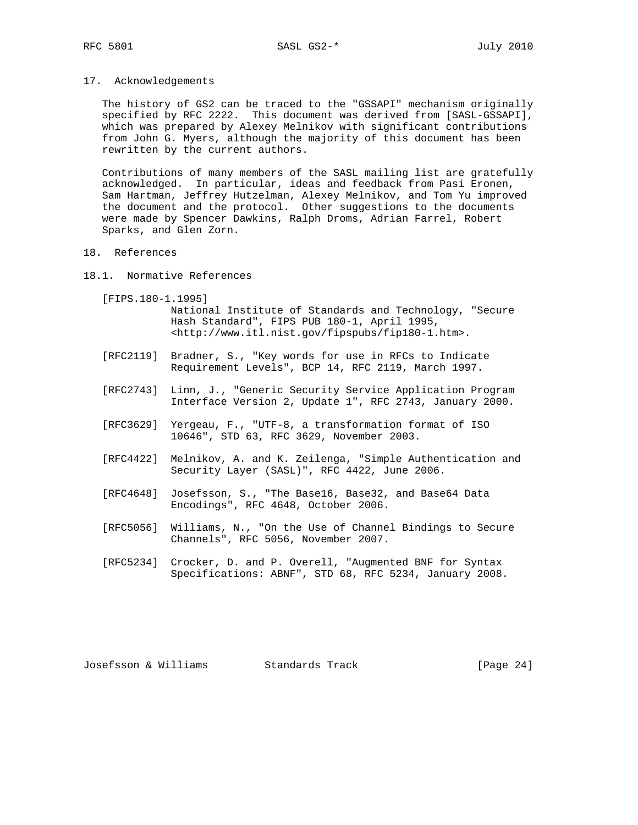17. Acknowledgements

 The history of GS2 can be traced to the "GSSAPI" mechanism originally specified by RFC 2222. This document was derived from [SASL-GSSAPI], which was prepared by Alexey Melnikov with significant contributions from John G. Myers, although the majority of this document has been rewritten by the current authors.

 Contributions of many members of the SASL mailing list are gratefully acknowledged. In particular, ideas and feedback from Pasi Eronen, Sam Hartman, Jeffrey Hutzelman, Alexey Melnikov, and Tom Yu improved the document and the protocol. Other suggestions to the documents were made by Spencer Dawkins, Ralph Droms, Adrian Farrel, Robert Sparks, and Glen Zorn.

- 18. References
- 18.1. Normative References

[FIPS.180-1.1995]

 National Institute of Standards and Technology, "Secure Hash Standard", FIPS PUB 180-1, April 1995, <http://www.itl.nist.gov/fipspubs/fip180-1.htm>.

- [RFC2119] Bradner, S., "Key words for use in RFCs to Indicate Requirement Levels", BCP 14, RFC 2119, March 1997.
- [RFC2743] Linn, J., "Generic Security Service Application Program Interface Version 2, Update 1", RFC 2743, January 2000.
- [RFC3629] Yergeau, F., "UTF-8, a transformation format of ISO 10646", STD 63, RFC 3629, November 2003.
- [RFC4422] Melnikov, A. and K. Zeilenga, "Simple Authentication and Security Layer (SASL)", RFC 4422, June 2006.
- [RFC4648] Josefsson, S., "The Base16, Base32, and Base64 Data Encodings", RFC 4648, October 2006.
- [RFC5056] Williams, N., "On the Use of Channel Bindings to Secure Channels", RFC 5056, November 2007.
- [RFC5234] Crocker, D. and P. Overell, "Augmented BNF for Syntax Specifications: ABNF", STD 68, RFC 5234, January 2008.

Josefsson & Williams Standards Track [Page 24]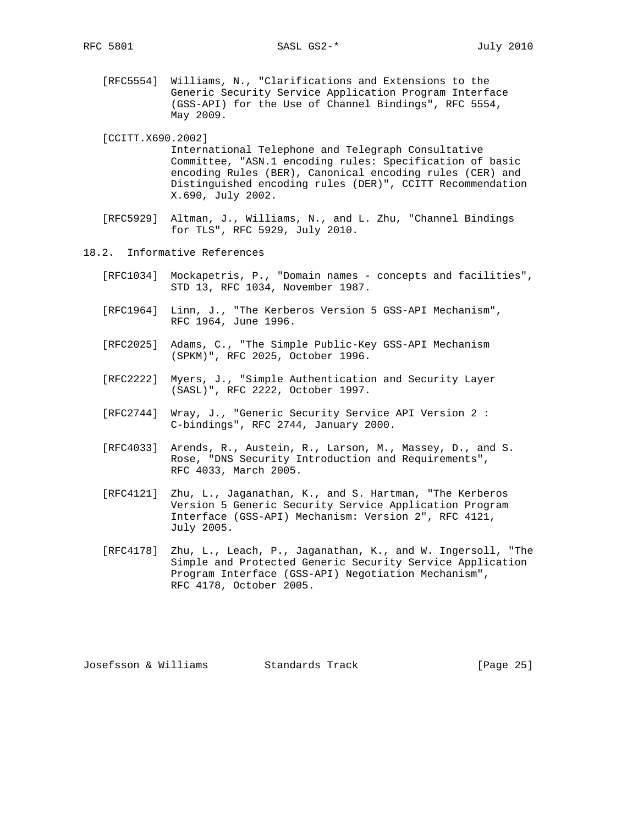[RFC5554] Williams, N., "Clarifications and Extensions to the Generic Security Service Application Program Interface (GSS-API) for the Use of Channel Bindings", RFC 5554, May 2009.

[CCITT.X690.2002]

 International Telephone and Telegraph Consultative Committee, "ASN.1 encoding rules: Specification of basic encoding Rules (BER), Canonical encoding rules (CER) and Distinguished encoding rules (DER)", CCITT Recommendation X.690, July 2002.

- [RFC5929] Altman, J., Williams, N., and L. Zhu, "Channel Bindings for TLS", RFC 5929, July 2010.
- 18.2. Informative References
	- [RFC1034] Mockapetris, P., "Domain names concepts and facilities", STD 13, RFC 1034, November 1987.
	- [RFC1964] Linn, J., "The Kerberos Version 5 GSS-API Mechanism", RFC 1964, June 1996.
	- [RFC2025] Adams, C., "The Simple Public-Key GSS-API Mechanism (SPKM)", RFC 2025, October 1996.
	- [RFC2222] Myers, J., "Simple Authentication and Security Layer (SASL)", RFC 2222, October 1997.
	- [RFC2744] Wray, J., "Generic Security Service API Version 2 : C-bindings", RFC 2744, January 2000.
	- [RFC4033] Arends, R., Austein, R., Larson, M., Massey, D., and S. Rose, "DNS Security Introduction and Requirements", RFC 4033, March 2005.
	- [RFC4121] Zhu, L., Jaganathan, K., and S. Hartman, "The Kerberos Version 5 Generic Security Service Application Program Interface (GSS-API) Mechanism: Version 2", RFC 4121, July 2005.
	- [RFC4178] Zhu, L., Leach, P., Jaganathan, K., and W. Ingersoll, "The Simple and Protected Generic Security Service Application Program Interface (GSS-API) Negotiation Mechanism", RFC 4178, October 2005.

Josefsson & Williams Standards Track [Page 25]